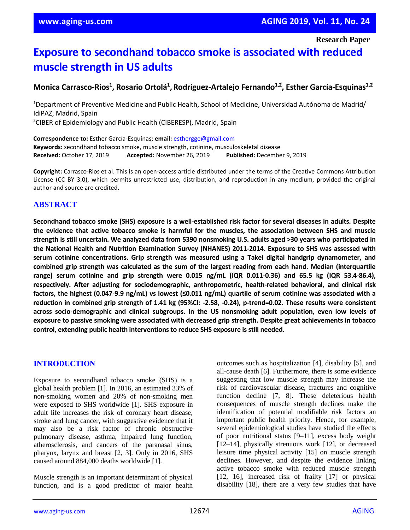**Research Paper**

# **Exposure to secondhand tobacco smoke is associated with reduced muscle strength in US adults**

**Monica Carrasco-Rios<sup>1</sup> , Rosario Ortolá<sup>1</sup> ,Rodríguez-Artalejo Fernando1,2 , Esther García-Esquinas1,2**

<sup>1</sup>Department of Preventive Medicine and Public Health, School of Medicine, Universidad Autónoma de Madrid/ IdiPAZ, Madrid, Spain <sup>2</sup>CIBER of Epidemiology and Public Health (CIBERESP), Madrid, Spain

**Correspondence to:** Esther García-Esquinas; **email:** [esthergge@gmail.com](mailto:esthergge@gmail.com) **Keywords:** secondhand tobacco smoke, muscle strength, cotinine, musculoskeletal disease **Received:** October 17, 2019 **Accepted:** November 26, 2019 **Published:** December 9, 2019

**Copyright:** Carrasco-Rios et al. This is an open-access article distributed under the terms of the Creative Commons Attribution License (CC BY 3.0), which permits unrestricted use, distribution, and reproduction in any medium, provided the original author and source are credited.

# **ABSTRACT**

Secondhand tobacco smoke (SHS) exposure is a well-established risk factor for several diseases in adults. Despite **the evidence that active tobacco smoke is harmful for the muscles, the association between SHS and muscle** strength is still uncertain. We analyzed data from 5390 nonsmoking U.S. adults aged >30 years who participated in **the National Health and Nutrition Examination Survey (NHANES) 2011-2014. Exposure to SHS was assessed with serum cotinine concentrations. Grip strength was measured using a Takei digital handgrip dynamometer, and** combined grip strength was calculated as the sum of the largest reading from each hand. Median (interquartile **range) serum cotinine and grip strength were 0.015 ng/mL (IQR 0.011-0.36) and 65.5 kg (IQR 53.4-86.4), respectively. After adjusting for sociodemographic, anthropometric, health-related behavioral, and clinical risk** factors, the highest (0.047-9.9 ng/mL) vs lowest ( $\leq$ 0.011 ng/mL) quartile of serum cotinine was associated with a reduction in combined grip strength of 1.41 kg (95%CI: -2.58, -0.24), p-trend=0.02. These results were consistent **across socio-demographic and clinical subgroups. In the US nonsmoking adult population, even low levels of exposure to passive smoking were associated with decreased grip strength. Despite great achievements in tobacco control, extending public health interventions to reduce SHS exposure isstill needed.**

## **INTRODUCTION**

Exposure to secondhand tobacco smoke (SHS) is a global health problem [1]. In 2016, an estimated 33% of non-smoking women and 20% of non-smoking men were exposed to SHS worldwide [1]. SHS exposure in adult life increases the risk of coronary heart disease, stroke and lung cancer, with suggestive evidence that it may also be a risk factor of chronic obstructive pulmonary disease, asthma, impaired lung function, atherosclerosis, and cancers of the paranasal sinus, pharynx, larynx and breast [2, 3]. Only in 2016, SHS caused around 884,000 deaths worldwide [1].

Muscle strength is an important determinant of physical function, and is a good predictor of major health outcomes such as hospitalization [4], disability [5], and all-cause death [6]. Furthermore, there is some evidence suggesting that low muscle strength may increase the risk of cardiovascular disease, fractures and cognitive function decline [7, 8]. These deleterious health consequences of muscle strength declines make the identification of potential modifiable risk factors an important public health priority. Hence, for example, several epidemiological studies have studied the effects of poor nutritional status [9–11], excess body weight [12–14], physically strenuous work [12], or decreased leisure time physical activity [15] on muscle strength declines. However, and despite the evidence linking active tobacco smoke with reduced muscle strength [12, 16], increased risk of frailty [17] or physical disability [18], there are a very few studies that have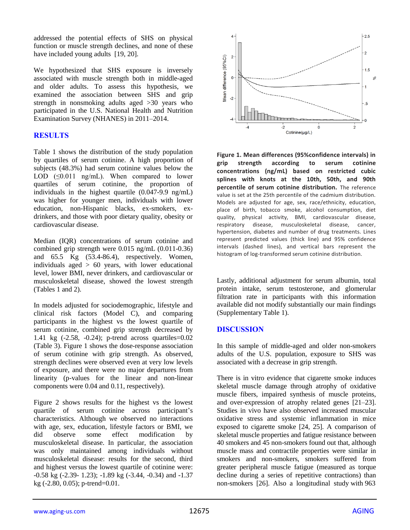addressed the potential effects of SHS on physical function or muscle strength declines, and none of these have included young adults [19, 20].

We hypothesized that SHS exposure is inversely associated with muscle strength both in middle-aged and older adults. To assess this hypothesis, we examined the association between SHS and grip strength in nonsmoking adults aged >30 years who participated in the U.S. National Health and Nutrition Examination Survey (NHANES) in 2011–2014.

# **RESULTS**

Table 1 shows the distribution of the study population by quartiles of serum cotinine. A high proportion of subjects (48.3%) had serum cotinine values below the LOD  $(\leq 0.011 \text{ ng/mL})$ . When compared to lower quartiles of serum cotinine, the proportion of individuals in the highest quartile (0.047-9.9 ng/mL) was higher for younger men, individuals with lower education, non-Hispanic blacks, ex-smokers, exdrinkers, and those with poor dietary quality, obesity or cardiovascular disease.

Median (IQR) concentrations of serum cotinine and combined grip strength were 0.015 ng/mL (0.011-0.36) and 65.5 Kg (53.4-86.4), respectively. Women, individuals aged  $> 60$  years, with lower educational level, lower BMI, never drinkers, and cardiovascular or musculoskeletal disease, showed the lowest strength (Tables 1 and 2).

In models adjusted for sociodemographic, lifestyle and clinical risk factors (Model C), and comparing participants in the highest vs the lowest quartile of serum cotinine, combined grip strength decreased by 1.41 kg (-2.58, -0.24); p-trend across quartiles=0.02 (Table 3). Figure 1 shows the dose-response association of serum cotinine with grip strength. As observed, strength declines were observed even at very low levels of exposure, and there were no major departures from linearity (p-values for the linear and non-linear components were 0.04 and 0.11, respectively).

Figure 2 shows results for the highest vs the lowest quartile of serum cotinine across participant's characteristics. Although we observed no interactions with age, sex, education, lifestyle factors or BMI, we did observe some effect modification by musculoskeletal disease. In particular, the association was only maintained among individuals without musculoskeletal disease: results for the second, third and highest versus the lowest quartile of cotinine were: -0.58 kg (-2.39- 1.23); -1.89 kg (-3.44, -0.34) and -1.37 kg (-2.80, 0.05); p-trend=0.01.



**Figure 1. Mean differences (95%confidence intervals) in grip strength according to serum cotinine concentrations (ng/mL) based on restricted cubic splines with knots at the 10th, 50th, and 90th percentile of serum cotinine distribution.** The reference value is set at the 25th percentile of the cadmium distribution. Models are adjusted for age, sex, race/ethnicity, education, place of birth, tobacco smoke, alcohol consumption, diet quality, physical activity, BMI, cardiovascular disease, respiratory disease, musculoskeletal disease, cancer, hypertension, diabetes and number of drug treatments. Lines represent predicted values (thick line) and 95% confidence intervals (dashed lines), and vertical bars represent the histogram of log-transformed serum cotinine distribution.

Lastly, additional adjustment for serum albumin, total protein intake, serum testosterone, and glomerular filtration rate in participants with this information available did not modify substantially our main findings (Supplementary Table 1).

## **DISCUSSION**

In this sample of middle-aged and older non-smokers adults of the U.S. population, exposure to SHS was associated with a decrease in grip strength.

There is in vitro evidence that cigarette smoke induces skeletal muscle damage through atrophy of oxidative muscle fibers, impaired synthesis of muscle proteins, and over-expression of atrophy related genes [21–23]. Studies in vivo have also observed increased muscular oxidative stress and systemic inflammation in mice exposed to cigarette smoke [24, 25]. A comparison of skeletal muscle properties and fatigue resistance between 40 smokers and 45 non-smokers found out that, although muscle mass and contractile properties were similar in smokers and non-smokers, smokers suffered from greater peripheral muscle fatigue (measured as torque decline during a series of repetitive contractions) than non-smokers [26]. Also a longitudinal study with 963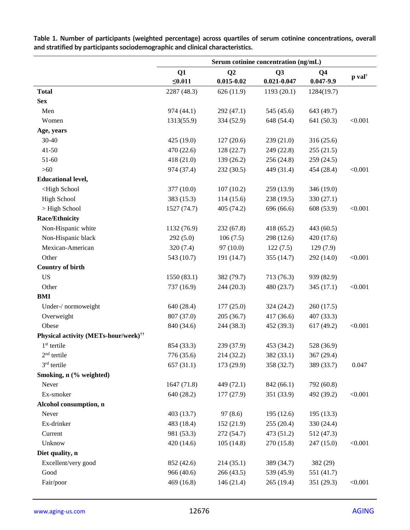|                                                                                                                    | Serum cotinine concentration (ng/mL) |                      |                                   |                                 |                               |
|--------------------------------------------------------------------------------------------------------------------|--------------------------------------|----------------------|-----------------------------------|---------------------------------|-------------------------------|
|                                                                                                                    | Q1<br>$\leq 0.011$                   | Q2<br>$0.015 - 0.02$ | Q <sub>3</sub><br>$0.021 - 0.047$ | Q <sub>4</sub><br>$0.047 - 9.9$ | $\mathbf{p}$ val <sup>†</sup> |
| <b>Total</b>                                                                                                       | 2287 (48.3)                          | 626 (11.9)           | 1193 (20.1)                       | 1284(19.7)                      |                               |
| <b>Sex</b>                                                                                                         |                                      |                      |                                   |                                 |                               |
| Men                                                                                                                | 974 (44.1)                           | 292 (47.1)           | 545 (45.6)                        | 643 (49.7)                      |                               |
| Women                                                                                                              | 1313(55.9)                           | 334 (52.9)           | 648 (54.4)                        | 641 (50.3)                      | < 0.001                       |
| Age, years                                                                                                         |                                      |                      |                                   |                                 |                               |
| 30-40                                                                                                              | 425 (19.0)                           | 127(20.6)            | 239 (21.0)                        | 316 (25.6)                      |                               |
| $41 - 50$                                                                                                          | 470 (22.6)                           | 128(22.7)            | 249 (22.8)                        | 255(21.5)                       |                               |
| 51-60                                                                                                              | 418 (21.0)                           | 139(26.2)            | 256 (24.8)                        | 259 (24.5)                      |                               |
| $>60$                                                                                                              | 974 (37.4)                           | 232 (30.5)           | 449 (31.4)                        | 454 (28.4)                      | < 0.001                       |
| <b>Educational level,</b>                                                                                          |                                      |                      |                                   |                                 |                               |
| <high school<="" td=""><td>377 (10.0)</td><td>107(10.2)</td><td>259 (13.9)</td><td>346 (19.0)</td><td></td></high> | 377 (10.0)                           | 107(10.2)            | 259 (13.9)                        | 346 (19.0)                      |                               |
| <b>High School</b>                                                                                                 | 383 (15.3)                           | 114(15.6)            | 238 (19.5)                        | 330 (27.1)                      |                               |
| > High School                                                                                                      | 1527 (74.7)                          | 405 (74.2)           | 696 (66.6)                        | 608 (53.9)                      | < 0.001                       |
| <b>Race/Ethnicity</b>                                                                                              |                                      |                      |                                   |                                 |                               |
| Non-Hispanic white                                                                                                 | 1132 (76.9)                          | 232 (67.8)           | 418 (65.2)                        | 443 (60.5)                      |                               |
| Non-Hispanic black                                                                                                 | 292(5.0)                             | 106(7.5)             | 298 (12.6)                        | 420 (17.6)                      |                               |
| Mexican-American                                                                                                   | 320 (7.4)                            | 97(10.0)             | 122(7.5)                          | 129(7.9)                        |                               |
| Other                                                                                                              | 543 (10.7)                           | 191 (14.7)           | 355(14.7)                         | 292 (14.0)                      | < 0.001                       |
| <b>Country of birth</b>                                                                                            |                                      |                      |                                   |                                 |                               |
| <b>US</b>                                                                                                          | 1550(83.1)                           | 382 (79.7)           | 713 (76.3)                        | 939 (82.9)                      |                               |
| Other                                                                                                              | 737 (16.9)                           | 244 (20.3)           | 480 (23.7)                        | 345 (17.1)                      | < 0.001                       |
| <b>BMI</b>                                                                                                         |                                      |                      |                                   |                                 |                               |
| Under-/ normoweight                                                                                                | 640 (28.4)                           | 177(25.0)            | 324 (24.2)                        | 260 (17.5)                      |                               |
| Overweight                                                                                                         | 807 (37.0)                           | 205 (36.7)           | 417 (36.6)                        | 407 (33.3)                      |                               |
| Obese                                                                                                              | 840 (34.6)                           | 244 (38.3)           | 452 (39.3)                        | 617 (49.2)                      | < 0.001                       |
| <b>Physical activity (METs-hour/week)<sup>††</sup></b>                                                             |                                      |                      |                                   |                                 |                               |
| $1st$ tertile                                                                                                      | 854 (33.3)                           | 239 (37.9)           | 453 (34.2)                        | 528 (36.9)                      |                               |
| $2nd$ tertile                                                                                                      | 776 (35.6)                           | 214 (32.2)           | 382 (33.1)                        | 367 (29.4)                      |                               |
| $3rd$ tertile                                                                                                      | 657(31.1)                            | 173 (29.9)           | 358 (32.7)                        | 389 (33.7)                      | 0.047                         |
| Smoking, n (% weighted)                                                                                            |                                      |                      |                                   |                                 |                               |
| Never                                                                                                              | 1647 (71.8)                          | 449 (72.1)           | 842 (66.1)                        | 792 (60.8)                      |                               |
| Ex-smoker                                                                                                          | 640 (28.2)                           | 177(27.9)            | 351 (33.9)                        | 492 (39.2)                      | < 0.001                       |
| Alcohol consumption, n                                                                                             |                                      |                      |                                   |                                 |                               |
| Never                                                                                                              | 403 (13.7)                           | 97(8.6)              | 195 (12.6)                        | 195(13.3)                       |                               |
| Ex-drinker                                                                                                         | 483 (18.4)                           | 152(21.9)            | 255 (20.4)                        | 330 (24.4)                      |                               |
| Current                                                                                                            | 981 (53.3)                           | 272 (54.7)           | 473 (51.2)                        | 512 (47.3)                      |                               |
| Unknow                                                                                                             | 420(14.6)                            | 105(14.8)            | 270 (15.8)                        | 247 (15.0)                      | < 0.001                       |
| Diet quality, n                                                                                                    |                                      |                      |                                   |                                 |                               |
| Excellent/very good                                                                                                | 852 (42.6)                           | 214(35.1)            | 389 (34.7)                        | 382 (29)                        |                               |
| Good                                                                                                               | 966 (40.6)                           | 266 (43.5)           | 539 (45.9)                        | 551 (41.7)                      |                               |
| Fair/poor                                                                                                          | 469 (16.8)                           | 146(21.4)            | 265 (19.4)                        | 351 (29.3)                      | < 0.001                       |

**Table 1. Number of participants (weighted percentage) across quartiles of serum cotinine concentrations, overall and stratified by participants sociodemographic and clinical characteristics.**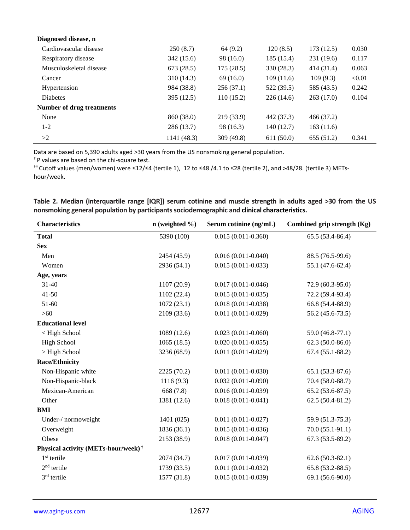| Diagnosed disease, n      |             |            |            |            |        |
|---------------------------|-------------|------------|------------|------------|--------|
| Cardiovascular disease    | 250(8.7)    | 64(9.2)    | 120(8.5)   | 173(12.5)  | 0.030  |
| Respiratory disease       | 342 (15.6)  | 98 (16.0)  | 185 (15.4) | 231 (19.6) | 0.117  |
| Musculoskeletal disease   | 673(28.5)   | 175(28.5)  | 330(28.3)  | 414 (31.4) | 0.063  |
| Cancer                    | 310 (14.3)  | 69(16.0)   | 109(11.6)  | 109(9.3)   | < 0.01 |
| Hypertension              | 984 (38.8)  | 256(37.1)  | 522 (39.5) | 585 (43.5) | 0.242  |
| <b>Diabetes</b>           | 395 (12.5)  | 110(15.2)  | 226(14.6)  | 263(17.0)  | 0.104  |
| Number of drug treatments |             |            |            |            |        |
| None                      | 860 (38.0)  | 219 (33.9) | 442 (37.3) | 466 (37.2) |        |
| $1 - 2$                   | 286(13.7)   | 98 (16.3)  | 140(12.7)  | 163(11.6)  |        |
| >2                        | 1141 (48.3) | 309 (49.8) | 611(50.0)  | 655(51.2)  | 0.341  |

Data are based on 5,390 adults aged >30 years from the US nonsmoking general population.

**†** P values are based on the chi-square test.

**††** Cutoff values (men/women) were ≤12/≤4 (tertile 1), 12 to ≤48 /4.1 to ≤28 (tertile 2), and >48/28. (tertile 3) METshour/week.

|  | Table 2. Median (interquartile range [IQR]) serum cotinine and muscle strength in adults aged >30 from the US |  |  |  |  |  |  |  |
|--|---------------------------------------------------------------------------------------------------------------|--|--|--|--|--|--|--|
|  | nonsmoking general population by participants sociodemographic and clinical characteristics.                  |  |  |  |  |  |  |  |

| <b>Characteristics</b>                          | $n$ (weighted $\%$ ) | Serum cotinine (ng/mL) | Combined grip strength (Kg) |
|-------------------------------------------------|----------------------|------------------------|-----------------------------|
| <b>Total</b>                                    | 5390 (100)           | $0.015(0.011 - 0.360)$ | $65.5(53.4-86.4)$           |
| <b>Sex</b>                                      |                      |                        |                             |
| Men                                             | 2454 (45.9)          | $0.016(0.011 - 0.040)$ | 88.5 (76.5-99.6)            |
| Women                                           | 2936 (54.1)          | $0.015(0.011 - 0.033)$ | 55.1 (47.6-62.4)            |
| Age, years                                      |                      |                        |                             |
| 31-40                                           | 1107 (20.9)          | $0.017(0.011 - 0.046)$ | $72.9(60.3-95.0)$           |
| $41 - 50$                                       | 1102(22.4)           | $0.015(0.011 - 0.035)$ | 72.2 (59.4-93.4)            |
| 51-60                                           | 1072(23.1)           | $0.018(0.011 - 0.038)$ | 66.8 (54.4-88.9)            |
| $>60$                                           | 2109 (33.6)          | $0.011(0.011 - 0.029)$ | $56.2(45.6-73.5)$           |
| <b>Educational level</b>                        |                      |                        |                             |
| < High School                                   | 1089 (12.6)          | $0.023(0.011-0.060)$   | 59.0 (46.8-77.1)            |
| <b>High School</b>                              | 1065(18.5)           | $0.020(0.011 - 0.055)$ | $62.3(50.0-86.0)$           |
| > High School                                   | 3236 (68.9)          | $0.011(0.011 - 0.029)$ | $67.4(55.1-88.2)$           |
| <b>Race/Ethnicity</b>                           |                      |                        |                             |
| Non-Hispanic white                              | 2225 (70.2)          | $0.011(0.011 - 0.030)$ | $65.1(53.3-87.6)$           |
| Non-Hispanic-black                              | 1116(9.3)            | $0.032(0.011 - 0.090)$ | 70.4 (58.0-88.7)            |
| Mexican-American                                | 668 (7.8)            | $0.016(0.011 - 0.039)$ | $65.2(53.6-87.5)$           |
| Other                                           | 1381 (12.6)          | $0.018(0.011 - 0.041)$ | $62.5(50.4-81.2)$           |
| <b>BMI</b>                                      |                      |                        |                             |
| Under-/ normoweight                             | 1401 (025)           | $0.011(0.011 - 0.027)$ | 59.9 (51.3-75.3)            |
| Overweight                                      | 1836 (36.1)          | $0.015(0.011 - 0.036)$ | $70.0(55.1-91.1)$           |
| Obese                                           | 2153 (38.9)          | $0.018(0.011 - 0.047)$ | $67.3(53.5-89.2)$           |
| Physical activity (METs-hour/week) <sup>†</sup> |                      |                        |                             |
| $1st$ tertile                                   | 2074 (34.7)          | $0.017(0.011 - 0.039)$ | $62.6(50.3-82.1)$           |
| $2nd$ tertile                                   | 1739 (33.5)          | $0.011(0.011 - 0.032)$ | $65.8(53.2 - 88.5)$         |
| $3rd$ tertile                                   | 1577 (31.8)          | $0.015(0.011 - 0.039)$ | 69.1 (56.6-90.0)            |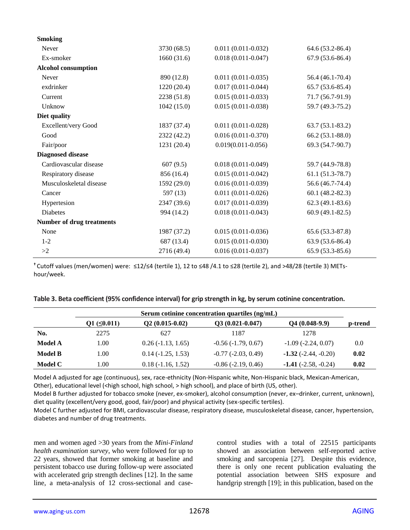| <b>Smoking</b>                   |             |                        |                      |
|----------------------------------|-------------|------------------------|----------------------|
| Never                            | 3730 (68.5) | $0.011(0.011 - 0.032)$ | 64.6 (53.2-86.4)     |
| Ex-smoker                        | 1660(31.6)  | $0.018(0.011 - 0.047)$ | $67.9(53.6-86.4)$    |
| <b>Alcohol consumption</b>       |             |                        |                      |
| Never                            | 890 (12.8)  | $0.011(0.011 - 0.035)$ | 56.4 (46.1-70.4)     |
| exdrinker                        | 1220(20.4)  | $0.017(0.011 - 0.044)$ | $65.7(53.6-85.4)$    |
| Current                          | 2238 (51.8) | $0.015(0.011 - 0.033)$ | 71.7 (56.7-91.9)     |
| Unknow                           | 1042(15.0)  | $0.015(0.011 - 0.038)$ | 59.7 (49.3-75.2)     |
| Diet quality                     |             |                        |                      |
| Excellent/very Good              | 1837 (37.4) | $0.011(0.011 - 0.028)$ | $63.7(53.1-83.2)$    |
| Good                             | 2322 (42.2) | $0.016(0.011 - 0.370)$ | $66.2(53.1-88.0)$    |
| Fair/poor                        | 1231 (20.4) | $0.019(0.011 - 0.056)$ | 69.3 (54.7-90.7)     |
| <b>Diagnosed disease</b>         |             |                        |                      |
| Cardiovascular disease           | 607(9.5)    | $0.018(0.011 - 0.049)$ | 59.7 (44.9-78.8)     |
| Respiratory disease              | 856 (16.4)  | $0.015(0.011 - 0.042)$ | $61.1(51.3-78.7)$    |
| Musculoskeletal disease          | 1592 (29.0) | $0.016(0.011 - 0.039)$ | 56.6 (46.7-74.4)     |
| Cancer                           | 597 (13)    | $0.011(0.011-0.026)$   | $60.1 (48.2 - 82.3)$ |
| Hypertesion                      | 2347 (39.6) | $0.017(0.011 - 0.039)$ | $62.3(49.1-83.6)$    |
| <b>Diabetes</b>                  | 994 (14.2)  | $0.018(0.011 - 0.043)$ | $60.9(49.1-82.5)$    |
| <b>Number of drug treatments</b> |             |                        |                      |
| None                             | 1987 (37.2) | $0.015(0.011-0.036)$   | 65.6 (53.3-87.8)     |
| $1 - 2$                          | 687 (13.4)  | $0.015(0.011 - 0.030)$ | 63.9 (53.6-86.4)     |
| >2                               | 2716 (49.4) | $0.016(0.011 - 0.037)$ | $65.9(53.3-85.6)$    |
|                                  |             |                        |                      |

**†** Cutoff values (men/women) were: ≤12/≤4 (tertile 1), 12 to ≤48 /4.1 to ≤28 (tertile 2), and >48/28 (tertile 3) METshour/week.

| Table 3. Beta coefficient (95% confidence interval) for grip strength in kg, by serum cotinine concentration. |  |  |
|---------------------------------------------------------------------------------------------------------------|--|--|
|---------------------------------------------------------------------------------------------------------------|--|--|

|                | Serum cotinine concentration quartiles (ng/mL) |                     |                              |                               |         |  |  |
|----------------|------------------------------------------------|---------------------|------------------------------|-------------------------------|---------|--|--|
|                | $Q1 (\leq 0.011)$                              | $Q2(0.015-0.02)$    | $Q3(0.021-0.047)$            | $Q4(0.048-9.9)$               | p-trend |  |  |
| No.            | 2275                                           | 627                 | 1187                         | 1278                          |         |  |  |
| Model A        | 1.00                                           | $0.26(-1.13, 1.65)$ | $-0.56(-1.79, 0.67)$         | $-1.09$ $(-2.24, 0.07)$       | 0.0     |  |  |
| <b>Model B</b> | 1.00                                           | $0.14(-1.25, 1.53)$ | $-0.77$ $(-2.03, 0.49)$      | $-1.32$ ( $-2.44$ , $-0.20$ ) | 0.02    |  |  |
| Model C        | 00.1                                           | $0.18(-1.16, 1.52)$ | $-0.86$ ( $-2.19$ , $0.46$ ) | $-1.41$ ( $-2.58$ , $-0.24$ ) | 0.02    |  |  |

Model A adjusted for age (continuous), sex, race-ethnicity (Non-Hispanic white, Non-Hispanic black, Mexican-American, Other), educational level (<high school, high school, > high school), and place of birth (US, other).

Model B further adjusted for tobacco smoke (never, ex-smoker), alcohol consumption (never, ex–drinker, current, unknown), diet quality (excellent/very good, good, fair/poor) and physical activity (sex-specific tertiles).

Model C further adjusted for BMI, cardiovascular disease, respiratory disease, musculoskeletal disease, cancer, hypertension, diabetes and number of drug treatments.

men and women aged >30 years from the *Mini-Finland health examination survey*, who were followed for up to 22 years, showed that former smoking at baseline and persistent tobacco use during follow-up were associated with accelerated grip strength declines [12]. In the same line, a meta-analysis of 12 cross-sectional and casecontrol studies with a total of 22515 participants showed an association between self-reported active smoking and sarcopenia [27]. Despite this evidence, there is only one recent publication evaluating the potential association between SHS exposure and handgrip strength [19]; in this publication, based on the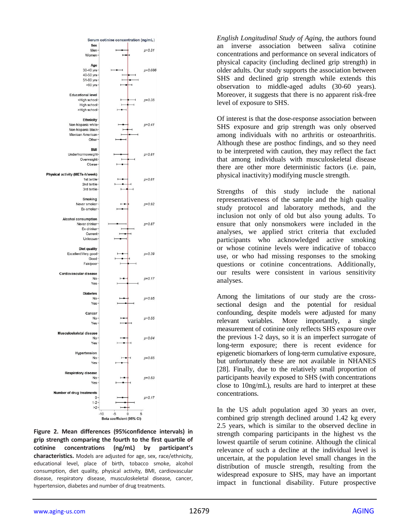

**Figure 2. Mean differences (95%confidence intervals) in grip strength comparing the fourth to the first quartile of cotinine concentrations (ng/mL) by participant's characteristics.** Models are adjusted for age, sex, race/ethnicity, educational level, place of birth, tobacco smoke, alcohol consumption, diet quality, physical activity, BMI, cardiovascular disease, respiratory disease, musculoskeletal disease, cancer, hypertension, diabetes and number of drug treatments.

*English Longitudinal Study of Aging*, the authors found an inverse association between saliva cotinine concentrations and performance on several indicators of physical capacity (including declined grip strength) in older adults. Our study supports the association between SHS and declined grip strength while extends this observation to middle-aged adults (30-60 years). Moreover, it suggests that there is no apparent risk-free level of exposure to SHS.

Of interest is that the dose-response association between SHS exposure and grip strength was only observed among individuals with no arthritis or osteoarthritis. Although these are posthoc findings, and so they need to be interpreted with caution, they may reflect the fact that among individuals with musculoskeletal disease there are other more deterministic factors (i.e. pain, physical inactivity) modifying muscle strength.

Strengths of this study include the national representativeness of the sample and the high quality study protocol and laboratory methods, and the inclusion not only of old but also young adults. To ensure that only nonsmokers were included in the analyses, we applied strict criteria that excluded participants who acknowledged active smoking or whose cotinine levels were indicative of tobacco use, or who had missing responses to the smoking questions or cotinine concentrations. Additionally, our results were consistent in various sensitivity analyses.

Among the limitations of our study are the crosssectional design and the potential for residual confounding, despite models were adjusted for many relevant variables. More importantly, a single measurement of cotinine only reflects SHS exposure over the previous 1-2 days, so it is an imperfect surrogate of long-term exposure; there is recent evidence for epigenetic biomarkers of long-term cumulative exposure, but unfortunately these are not available in NHANES [28]. Finally, due to the relatively small proportion of participants heavily exposed to SHS (with concentrations close to 10ng/mL), results are hard to interpret at these concentrations.

In the US adult population aged 30 years an over, combined grip strength declined around 1.42 kg every 2.5 years, which is similar to the observed decline in strength comparing participants in the highest vs the lowest quartile of serum cotinine. Although the clinical relevance of such a decline at the individual level is uncertain, at the population level small changes in the distribution of muscle strength, resulting from the widespread exposure to SHS, may have an important impact in functional disability. Future prospective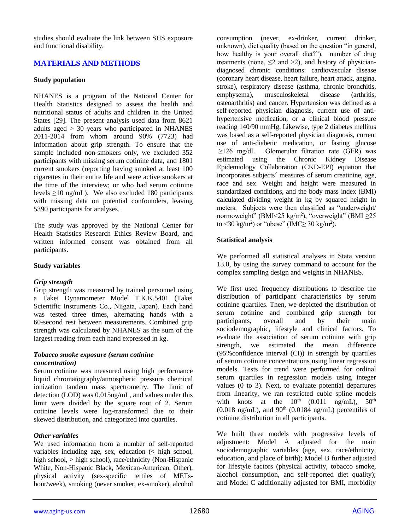studies should evaluate the link between SHS exposure and functional disability.

## **MATERIALS AND METHODS**

#### **Study population**

NHANES is a program of the National Center for Health Statistics designed to assess the health and nutritional status of adults and children in the United States [29]. The present analysis used data from 8621 adults aged > 30 years who participated in NHANES 2011-2014 from whom around 90% (7723) had information about grip strength. To ensure that the sample included non-smokers only, we excluded 352 participants with missing serum cotinine data, and 1801 current smokers (reporting having smoked at least 100 cigarettes in their entire life and were active smokers at the time of the interview; or who had serum cotinine levels ≥10 ng/mL). We also excluded 180 participants with missing data on potential confounders, leaving 5390 participants for analyses.

The study was approved by the National Center for Health Statistics Research Ethics Review Board, and written informed consent was obtained from all participants.

#### **Study variables**

#### *Grip strength*

Grip strength was measured by trained personnel using a Takei Dynamometer Model T.K.K.5401 (Takei Scientific Instruments Co., Niigata, Japan). Each hand was tested three times, alternating hands with a 60-second rest between measurements. Combined grip strength was calculated by NHANES as the sum of the largest reading from each hand expressed in kg.

#### *Tobacco smoke exposure (serum cotinine concentration)*

Serum cotinine was measured using high performance liquid chromatography/atmospheric pressure chemical ionization tandem mass spectrometry. The limit of detection (LOD) was 0.015ng/mL, and values under this limit were divided by the square root of 2. Serum cotinine levels were log-transformed due to their skewed distribution, and categorized into quartiles.

#### *Other variables*

We used information from a number of self-reported variables including age, sex, education (< high school, high school, > high school), race/ethnicity (Non-Hispanic White, Non-Hispanic Black, Mexican-American, Other), physical activity (sex-specific tertiles of METshour/week), smoking (never smoker, ex-smoker), alcohol

consumption (never, ex-drinker, current drinker, unknown), diet quality (based on the question "in general, how healthy is your overall diet?"), number of drug treatments (none,  $\leq$ 2 and  $>$ 2), and history of physiciandiagnosed chronic conditions: cardiovascular disease (coronary heart disease, heart failure, heart attack, angina, stroke), respiratory disease (asthma, chronic bronchitis, emphysema), musculoskeletal disease (arthritis, osteoarthritis) and cancer. Hypertension was defined as a self-reported physician diagnosis, current use of antihypertensive medication, or a clinical blood pressure reading 140/90 mmHg. Likewise, type 2 diabetes mellitus was based as a self-reported physician diagnosis, current use of anti-diabetic medication, or fasting glucose ≥126 mg/dL. Glomerular filtration rate (GFR) was estimated using the Chronic Kidney Disease Epidemiology Collaboration (CKD-EPI) equation that incorporates subjects´ measures of serum creatinine, age, race and sex. Weight and height were measured in standardized conditions, and the body mass index (BMI) calculated dividing weight in kg by squared height in meters. Subjects were then classified as "underweight/ normoweight" (BMI<25 kg/m<sup>2</sup> ), "overweight" (BMI ≥25 to <30 kg/m<sup>2</sup>) or "obese" (IMC $\geq$  30 kg/m<sup>2</sup>).

#### **Statistical analysis**

We performed all statistical analyses in Stata version 13.0, by using the survey command to account for the complex sampling design and weights in NHANES.

We first used frequency distributions to describe the distribution of participant characteristics by serum cotinine quartiles. Then, we depicted the distribution of serum cotinine and combined grip strength for participants, overall and by their main sociodemographic, lifestyle and clinical factors. To evaluate the association of serum cotinine with grip strength, we estimated the mean difference (95%confidence interval (CI)) in strength by quartiles of serum cotinine concentrations using linear regression models. Tests for trend were performed for ordinal serum quartiles in regression models using integer values (0 to 3). Next, to evaluate potential departures from linearity, we ran restricted cubic spline models with knots at the  $10^{th}$  (0.011 ng/mL),  $50^{th}$ (0.018 ng/mL), and  $90<sup>th</sup>$  (0.0184 ng/mL) percentiles of cotinine distribution in all participants.

We built three models with progressive levels of adjustment: Model A adjusted for the main sociodemographic variables (age, sex, race/ethnicity, education, and place of birth); Model B further adjusted for lifestyle factors (physical activity, tobacco smoke, alcohol consumption, and self-reported diet quality); and Model C additionally adjusted for BMI, morbidity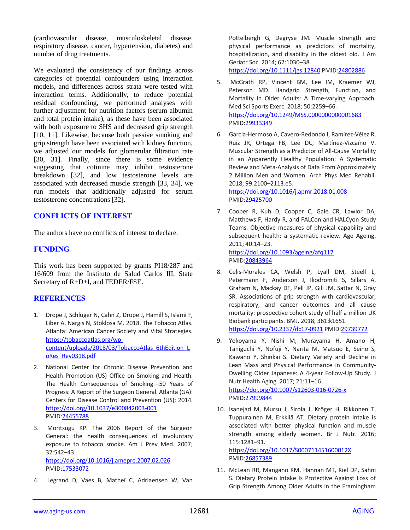(cardiovascular disease, musculoskeletal disease, respiratory disease, cancer, hypertension, diabetes) and number of drug treatments.

We evaluated the consistency of our findings across categories of potential confounders using interaction models, and differences across strata were tested with interaction terms. Additionally, to reduce potential residual confounding, we performed analyses with further adjustment for nutrition factors (serum albumin and total protein intake), as these have been associated with both exposure to SHS and decreased grip strength [10, 11]. Likewise, because both passive smoking and grip strength have been associated with kidney function, we adjusted our models for glomerular filtration rate [30, 31]. Finally, since there is some evidence suggesting that cotinine may inhibit testosterone breakdown [32], and low testosterone levels are associated with decreased muscle strength [33, 34], we run models that additionally adjusted for serum testosterone concentrations [32].

## **CONFLICTS OF INTEREST**

The authors have no conflicts of interest to declare.

### **FUNDING**

This work has been supported by grants PI18/287 and 16/609 from the Instituto de Salud Carlos III, State Secretary of R+D+I, and FEDER/FSE.

## **REFERENCES**

- 1. Drope J, Schluger N, Cahn Z, Drope J, Hamill S, Islami F, Liber A, Nargis N, Stoklosa M. 2018. The Tobacco Atlas. Atlanta: American Cancer Society and Vital Strategies. [https://tobaccoatlas.org/wp](https://tobaccoatlas.org/wp-content/uploads/2018/03/TobaccoAtlas_6thEdition_LoRes_Rev0318.pdf)[content/uploads/2018/03/TobaccoAtlas\\_6thEdition\\_L](https://tobaccoatlas.org/wp-content/uploads/2018/03/TobaccoAtlas_6thEdition_LoRes_Rev0318.pdf) [oRes\\_Rev0318.pdf](https://tobaccoatlas.org/wp-content/uploads/2018/03/TobaccoAtlas_6thEdition_LoRes_Rev0318.pdf)
- 2. National Center for Chronic Disease Prevention and Health Promotion (US) Office on Smoking and Health. The Health Consequences of Smoking—50 Years of Progress: A Report of the Surgeon General. Atlanta (GA): Centers for Disease Control and Prevention (US); 2014. <https://doi.org/10.1037/e300842003-001> [PMID:24455788](https://www.ncbi.nlm.nih.gov/pubmed/24455788)
- 3. Moritsugu KP. The 2006 Report of the Surgeon General: the health consequences of involuntary exposure to tobacco smoke. Am J Prev Med. 2007; 32:542–43. <https://doi.org/10.1016/j.amepre.2007.02.026> [PMID:17533072](https://www.ncbi.nlm.nih.gov/pubmed/17533072)
- 4. Legrand D, Vaes B, Matheï C, Adriaensen W, Van

Pottelbergh G, Degryse JM. Muscle strength and physical performance as predictors of mortality, hospitalization, and disability in the oldest old. J Am Geriatr Soc. 2014; 62:1030–38.

<https://doi.org/10.1111/jgs.12840> [PMID:24802886](https://www.ncbi.nlm.nih.gov/pubmed/24802886)

- 5. McGrath RP, Vincent BM, Lee IM, Kraemer WJ, Peterson MD. Handgrip Strength, Function, and Mortality in Older Adults: A Time-varying Approach. Med Sci Sports Exerc. 2018; 50:2259–66. <https://doi.org/10.1249/MSS.0000000000001683> [PMID:29933349](https://www.ncbi.nlm.nih.gov/pubmed/29933349)
- 6. García-Hermoso A, Cavero-Redondo I, Ramírez-Vélez R, Ruiz JR, Ortega FB, Lee DC, Martínez-Vizcaíno V. Muscular Strength as a Predictor of All-Cause Mortality in an Apparently Healthy Population: A Systematic Review and Meta-Analysis of Data From Approximately 2 Million Men and Women. Arch Phys Med Rehabil. 2018; 99:2100–2113.e5.

<https://doi.org/10.1016/j.apmr.2018.01.008> [PMID:29425700](https://www.ncbi.nlm.nih.gov/pubmed/29425700)

7. Cooper R, Kuh D, Cooper C, Gale CR, Lawlor DA, Matthews F, Hardy R, and FALCon and HALCyon Study Teams. Objective measures of physical capability and subsequent health: a systematic review. Age Ageing. 2011; 40:14–23. <https://doi.org/10.1093/ageing/afq117>

[PMID:20843964](https://www.ncbi.nlm.nih.gov/pubmed/20843964)

- 8. Celis-Morales CA, Welsh P, Lyall DM, Steell L, Petermann F, Anderson J, Iliodromiti S, Sillars A, Graham N, Mackay DF, Pell JP, Gill JM, Sattar N, Gray SR. Associations of grip strength with cardiovascular, respiratory, and cancer outcomes and all cause mortality: prospective cohort study of half a million UK Biobank participants. BMJ. 2018; 361:k1651. <https://doi.org/10.2337/dc17-0921> [PMID:29739772](https://www.ncbi.nlm.nih.gov/pubmed/29739772)
- 9. Yokoyama Y, Nishi M, Murayama H, Amano H, Taniguchi Y, Nofuji Y, Narita M, Matsuo E, Seino S, Kawano Y, Shinkai S. Dietary Variety and Decline in Lean Mass and Physical Performance in Community-Dwelling Older Japanese: A 4-year Follow-Up Study. J Nutr Health Aging. 2017; 21:11–16. <https://doi.org/10.1007/s12603-016-0726-x> [PMID:27999844](https://www.ncbi.nlm.nih.gov/pubmed/27999844)
- 10. Isanejad M, Mursu J, Sirola J, Kröger H, Rikkonen T, Tuppurainen M, Erkkilä AT. Dietary protein intake is associated with better physical function and muscle strength among elderly women. Br J Nutr. 2016; 115:1281–91. <https://doi.org/10.1017/S000711451600012X>

[PMID:26857389](https://www.ncbi.nlm.nih.gov/pubmed/26857389)

11. McLean RR, Mangano KM, Hannan MT, Kiel DP, Sahni S. Dietary Protein Intake Is Protective Against Loss of Grip Strength Among Older Adults in the Framingham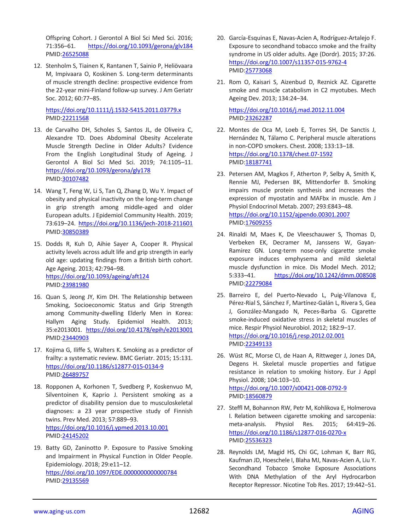Offspring Cohort. J Gerontol A Biol Sci Med Sci. 2016; 71:356–61. <https://doi.org/10.1093/gerona/glv184> [PMID:26525088](https://www.ncbi.nlm.nih.gov/pubmed/26525088)

12. Stenholm S, Tiainen K, Rantanen T, Sainio P, Heliövaara M, Impivaara O, Koskinen S. Long-term determinants of muscle strength decline: prospective evidence from the 22-year mini-Finland follow-up survey. J Am Geriatr Soc. 2012; 60:77–85.

<https://doi.org/10.1111/j.1532-5415.2011.03779.x> [PMID:22211568](https://www.ncbi.nlm.nih.gov/pubmed/22211568)

- 13. de Carvalho DH, Scholes S, Santos JL, de Oliveira C, Alexandre TD. Does Abdominal Obesity Accelerate Muscle Strength Decline in Older Adults? Evidence From the English Longitudinal Study of Ageing. J Gerontol A Biol Sci Med Sci. 2019; 74:1105–11. <https://doi.org/10.1093/gerona/gly178> [PMID:30107482](https://www.ncbi.nlm.nih.gov/pubmed/30107482)
- 14. Wang T, Feng W, Li S, Tan Q, Zhang D, Wu Y. Impact of obesity and physical inactivity on the long-term change in grip strength among middle-aged and older European adults. J Epidemiol Community Health. 2019; 73:619–24.<https://doi.org/10.1136/jech-2018-211601> [PMID:30850389](https://www.ncbi.nlm.nih.gov/pubmed/30850389)
- 15. Dodds R, Kuh D, Aihie Sayer A, Cooper R. Physical activity levels across adult life and grip strength in early old age: updating findings from a British birth cohort. Age Ageing. 2013; 42:794–98. <https://doi.org/10.1093/ageing/aft124> [PMID:23981980](https://www.ncbi.nlm.nih.gov/pubmed/23981980)
- 16. Quan S, Jeong JY, Kim DH. The Relationship between Smoking, Socioeconomic Status and Grip Strength among Community-dwelling Elderly Men in Korea: Hallym Aging Study. Epidemiol Health. 2013; 35:e2013001. <https://doi.org/10.4178/epih/e2013001> [PMID:23440903](https://www.ncbi.nlm.nih.gov/pubmed/23440903)
- 17. Kojima G, Iliffe S, Walters K. Smoking as a predictor of frailty: a systematic review. BMC Geriatr. 2015; 15:131. <https://doi.org/10.1186/s12877-015-0134-9> [PMID:26489757](https://www.ncbi.nlm.nih.gov/pubmed/26489757)
- 18. Ropponen A, Korhonen T, Svedberg P, Koskenvuo M, Silventoinen K, Kaprio J. Persistent smoking as a predictor of disability pension due to musculoskeletal diagnoses: a 23 year prospective study of Finnish twins. Prev Med. 2013; 57:889–93. <https://doi.org/10.1016/j.ypmed.2013.10.001> [PMID:24145202](https://www.ncbi.nlm.nih.gov/pubmed/24145202)
- 19. Batty GD, Zaninotto P. Exposure to Passive Smoking and Impairment in Physical Function in Older People. Epidemiology. 2018; 29:e11–12. <https://doi.org/10.1097/EDE.0000000000000784> [PMID:29135569](https://www.ncbi.nlm.nih.gov/pubmed/29135569)
- 20. García-Esquinas E, Navas-Acien A, Rodríguez-Artalejo F. Exposure to secondhand tobacco smoke and the frailty syndrome in US older adults. Age (Dordr). 2015; 37:26. <https://doi.org/10.1007/s11357-015-9762-4> [PMID:25773068](https://www.ncbi.nlm.nih.gov/pubmed/25773068)
- 21. Rom O, Kaisari S, Aizenbud D, Reznick AZ. Cigarette smoke and muscle catabolism in C2 myotubes. Mech Ageing Dev. 2013; 134:24–34.

<https://doi.org/10.1016/j.mad.2012.11.004> [PMID:23262287](https://www.ncbi.nlm.nih.gov/pubmed/23262287)

- 22. Montes de Oca M, Loeb E, Torres SH, De Sanctis J, Hernández N, Tálamo C. Peripheral muscle alterations in non-COPD smokers. Chest. 2008; 133:13–18. <https://doi.org/10.1378/chest.07-1592> [PMID:18187741](https://www.ncbi.nlm.nih.gov/pubmed/18187741)
- 23. Petersen AM, Magkos F, Atherton P, Selby A, Smith K, Rennie MJ, Pedersen BK, Mittendorfer B. Smoking impairs muscle protein synthesis and increases the expression of myostatin and MAFbx in muscle. Am J Physiol Endocrinol Metab. 2007; 293:E843–48. <https://doi.org/10.1152/ajpendo.00301.2007> [PMID:17609255](https://www.ncbi.nlm.nih.gov/pubmed/17609255)
- 24. Rinaldi M, Maes K, De Vleeschauwer S, Thomas D, Verbeken EK, Decramer M, Janssens W, Gayan-Ramirez GN. Long-term nose-only cigarette smoke exposure induces emphysema and mild skeletal muscle dysfunction in mice. Dis Model Mech. 2012; 5:333–41. <https://doi.org/10.1242/dmm.008508> [PMID:22279084](https://www.ncbi.nlm.nih.gov/pubmed/22279084)
- 25. Barreiro E, del Puerto-Nevado L, Puig-Vilanova E, Pérez-Rial S, Sánchez F, Martínez-Galán L, Rivera S, Gea J, González-Mangado N, Peces-Barba G. Cigarette smoke-induced oxidative stress in skeletal muscles of mice. Respir Physiol Neurobiol. 2012; 182:9–17. <https://doi.org/10.1016/j.resp.2012.02.001> [PMID:22349133](https://www.ncbi.nlm.nih.gov/pubmed/22349133)
- 26. Wüst RC, Morse CI, de Haan A, Rittweger J, Jones DA, Degens H. Skeletal muscle properties and fatigue resistance in relation to smoking history. Eur J Appl Physiol. 2008; 104:103–10. <https://doi.org/10.1007/s00421-008-0792-9> [PMID:18560879](https://www.ncbi.nlm.nih.gov/pubmed/18560879)
- 27. Steffl M, Bohannon RW, Petr M, Kohlikova E, Holmerova I. Relation between cigarette smoking and sarcopenia: meta-analysis. Physiol Res. 2015; 64:419–26. <https://doi.org/10.1186/s12877-016-0270-x> [PMID:25536323](https://www.ncbi.nlm.nih.gov/pubmed/25536323)
- 28. Reynolds LM, Magid HS, Chi GC, Lohman K, Barr RG, Kaufman JD, Hoeschele I, Blaha MJ, Navas-Acien A, Liu Y. Secondhand Tobacco Smoke Exposure Associations With DNA Methylation of the Aryl Hydrocarbon Receptor Repressor. Nicotine Tob Res. 2017; 19:442–51.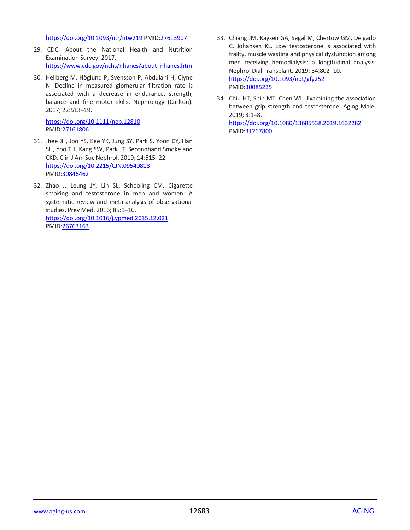<https://doi.org/10.1093/ntr/ntw219> [PMID:27613907](https://www.ncbi.nlm.nih.gov/pubmed/27613907)

- 29. CDC. About the National Health and Nutrition Examination Survey. 2017. [https://www.cdc.gov/nchs/nhanes/about\\_nhanes.htm](https://www.cdc.gov/nchs/nhanes/about_nhanes.htm)
- 30. Hellberg M, Höglund P, Svensson P, Abdulahi H, Clyne N. Decline in measured glomerular filtration rate is associated with a decrease in endurance, strength, balance and fine motor skills. Nephrology (Carlton). 2017; 22:513–19.

<https://doi.org/10.1111/nep.12810> [PMID:27161806](https://www.ncbi.nlm.nih.gov/pubmed/27161806)

- 31. Jhee JH, Joo YS, Kee YK, Jung SY, Park S, Yoon CY, Han SH, Yoo TH, Kang SW, Park JT. Secondhand Smoke and CKD. Clin J Am Soc Nephrol. 2019; 14:515–22. <https://doi.org/10.2215/CJN.09540818> [PMID:30846462](https://www.ncbi.nlm.nih.gov/pubmed/30846462)
- 32. Zhao J, Leung JY, Lin SL, Schooling CM. Cigarette smoking and testosterone in men and women: A systematic review and meta-analysis of observational studies. Prev Med. 2016; 85:1–10. <https://doi.org/10.1016/j.ypmed.2015.12.021> [PMID:26763163](https://www.ncbi.nlm.nih.gov/pubmed/26763163)
- 33. Chiang JM, Kaysen GA, Segal M, Chertow GM, Delgado C, Johansen KL. Low testosterone is associated with frailty, muscle wasting and physical dysfunction among men receiving hemodialysis: a longitudinal analysis. Nephrol Dial Transplant. 2019; 34:802–10. <https://doi.org/10.1093/ndt/gfy252> [PMID:30085235](https://www.ncbi.nlm.nih.gov/pubmed/30085235)
- 34. Chiu HT, Shih MT, Chen WL. Examining the association between grip strength and testosterone. Aging Male. 2019; 3:1–8. <https://doi.org/10.1080/13685538.2019.1632282> [PMID:31267800](https://www.ncbi.nlm.nih.gov/pubmed/31267800)